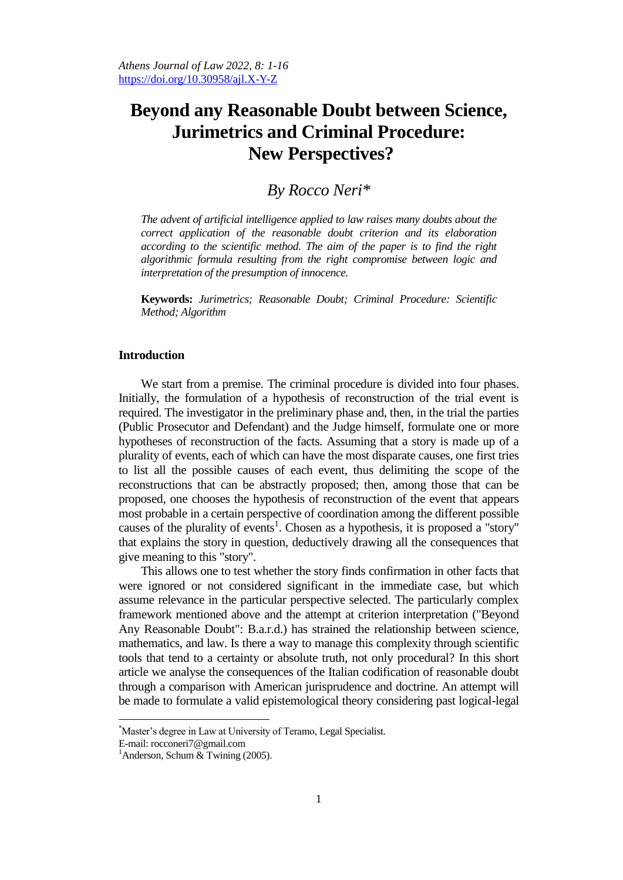# **Beyond any Reasonable Doubt between Science, Jurimetrics and Criminal Procedure: New Perspectives?**

# *By Rocco Neri\**

*The advent of artificial intelligence applied to law raises many doubts about the correct application of the reasonable doubt criterion and its elaboration according to the scientific method. The aim of the paper is to find the right algorithmic formula resulting from the right compromise between logic and interpretation of the presumption of innocence.* 

**Keywords:** *Jurimetrics; Reasonable Doubt; Criminal Procedure: Scientific Method; Algorithm*

#### **Introduction**

We start from a premise. The criminal procedure is divided into four phases. Initially, the formulation of a hypothesis of reconstruction of the trial event is required. The investigator in the preliminary phase and, then, in the trial the parties (Public Prosecutor and Defendant) and the Judge himself, formulate one or more hypotheses of reconstruction of the facts. Assuming that a story is made up of a plurality of events, each of which can have the most disparate causes, one first tries to list all the possible causes of each event, thus delimiting the scope of the reconstructions that can be abstractly proposed; then, among those that can be proposed, one chooses the hypothesis of reconstruction of the event that appears most probable in a certain perspective of coordination among the different possible causes of the plurality of events<sup>1</sup>. Chosen as a hypothesis, it is proposed a "story" that explains the story in question, deductively drawing all the consequences that give meaning to this "story".

This allows one to test whether the story finds confirmation in other facts that were ignored or not considered significant in the immediate case, but which assume relevance in the particular perspective selected. The particularly complex framework mentioned above and the attempt at criterion interpretation ("Beyond Any Reasonable Doubt": B.a.r.d.) has strained the relationship between science, mathematics, and law. Is there a way to manage this complexity through scientific tools that tend to a certainty or absolute truth, not only procedural? In this short article we analyse the consequences of the Italian codification of reasonable doubt through a comparison with American jurisprudence and doctrine. An attempt will be made to formulate a valid epistemological theory considering past logical-legal

<sup>\*</sup>Master"s degree in Law at University of Teramo, Legal Specialist.

E-mail: rocconeri7@gmail.com

<sup>&</sup>lt;sup>1</sup>Anderson, Schum & Twining  $(2005)$ .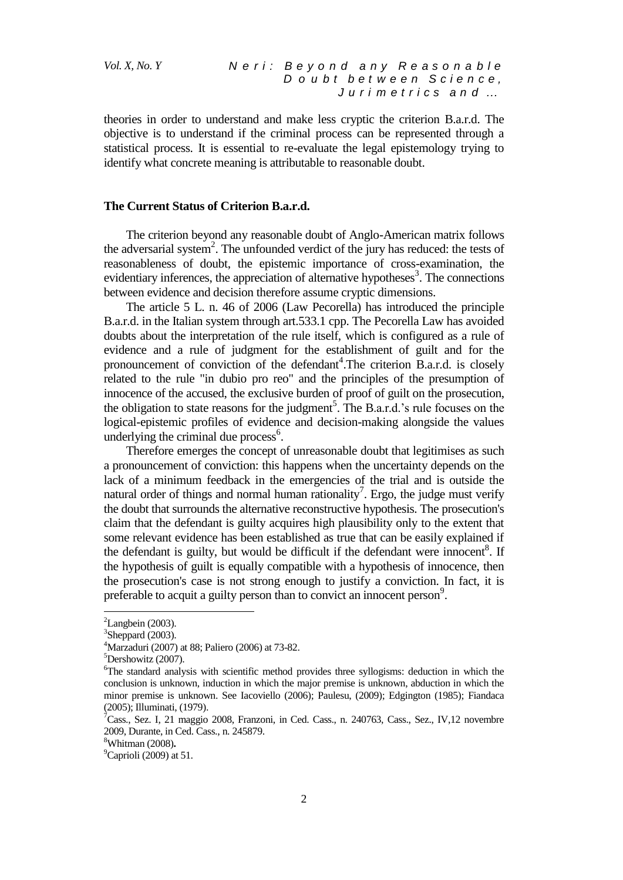theories in order to understand and make less cryptic the criterion B.a.r.d. The objective is to understand if the criminal process can be represented through a statistical process. It is essential to re-evaluate the legal epistemology trying to identify what concrete meaning is attributable to reasonable doubt.

#### **The Current Status of Criterion B.a.r.d.**

The criterion beyond any reasonable doubt of Anglo-American matrix follows the adversarial system<sup>2</sup>. The unfounded verdict of the jury has reduced: the tests of reasonableness of doubt, the epistemic importance of cross-examination, the evidentiary inferences, the appreciation of alternative hypotheses<sup>3</sup>. The connections between evidence and decision therefore assume cryptic dimensions.

The article 5 L. n. 46 of 2006 (Law Pecorella) has introduced the principle B.a.r.d. in the Italian system through art.533.1 cpp. The Pecorella Law has avoided doubts about the interpretation of the rule itself, which is configured as a rule of evidence and a rule of judgment for the establishment of guilt and for the pronouncement of conviction of the defendant<sup>4</sup>. The criterion B.a.r.d. is closely related to the rule "in dubio pro reo" and the principles of the presumption of innocence of the accused, the exclusive burden of proof of guilt on the prosecution, the obligation to state reasons for the judgment<sup>5</sup>. The B.a.r.d.'s rule focuses on the logical-epistemic profiles of evidence and decision-making alongside the values underlying the criminal due process<sup>6</sup>.

Therefore emerges the concept of unreasonable doubt that legitimises as such a pronouncement of conviction: this happens when the uncertainty depends on the lack of a minimum feedback in the emergencies of the trial and is outside the natural order of things and normal human rationality<sup>7</sup>. Ergo, the judge must verify the doubt that surrounds the alternative reconstructive hypothesis. The prosecution's claim that the defendant is guilty acquires high plausibility only to the extent that some relevant evidence has been established as true that can be easily explained if the defendant is guilty, but would be difficult if the defendant were innocent<sup>8</sup>. If the hypothesis of guilt is equally compatible with a hypothesis of innocence, then the prosecution's case is not strong enough to justify a conviction. In fact, it is preferable to acquit a guilty person than to convict an innocent person<sup>9</sup>.

 ${}^{2}$ Langbein (2003).

 $3$ Sheppard (2003).

<sup>&</sup>lt;sup>4</sup>Marzaduri (2007) at 88; Paliero (2006) at 73-82.

<sup>5</sup>Dershowitz (2007).

<sup>6</sup>The standard analysis with scientific method provides three syllogisms: deduction in which the conclusion is unknown, induction in which the major premise is unknown, abduction in which the minor premise is unknown. See Iacoviello (2006); Paulesu, (2009); Edgington (1985); Fiandaca (2005); Illuminati, (1979).

<sup>&</sup>lt;sup>7</sup>Cass., Sez. I, 21 maggio 2008, Franzoni, in Ced. Cass., n. 240763, Cass., Sez., IV, 12 novembre 2009, Durante, in Ced. Cass., n. 245879.

<sup>8</sup>Whitman (2008)**.**

 $^9$ Caprioli (2009) at 51.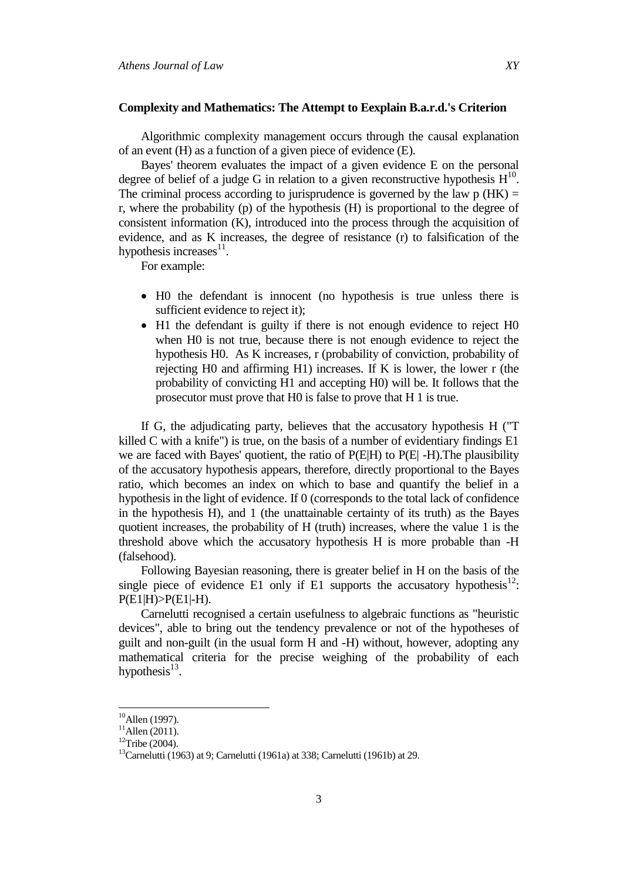#### **Complexity and Mathematics: The Attempt to Eexplain B.a.r.d.'s Criterion**

Algorithmic complexity management occurs through the causal explanation of an event (H) as a function of a given piece of evidence (E).

Bayes' theorem evaluates the impact of a given evidence E on the personal degree of belief of a judge G in relation to a given reconstructive hypothesis  $H^{10}$ . The criminal process according to jurisprudence is governed by the law  $p(HK) =$ r, where the probability (p) of the hypothesis (H) is proportional to the degree of consistent information (K), introduced into the process through the acquisition of evidence, and as K increases, the degree of resistance (r) to falsification of the hypothesis increases $11$ .

For example:

- H0 the defendant is innocent (no hypothesis is true unless there is sufficient evidence to reject it);
- H1 the defendant is guilty if there is not enough evidence to reject H0 when H0 is not true, because there is not enough evidence to reject the hypothesis H0. As K increases, r (probability of conviction, probability of rejecting H0 and affirming H1) increases. If K is lower, the lower r (the probability of convicting H1 and accepting H0) will be. It follows that the prosecutor must prove that H0 is false to prove that H 1 is true.

If G, the adjudicating party, believes that the accusatory hypothesis H ("T killed C with a knife") is true, on the basis of a number of evidentiary findings E1 we are faced with Bayes' quotient, the ratio of P(E|H) to P(E| -H).The plausibility of the accusatory hypothesis appears, therefore, directly proportional to the Bayes ratio, which becomes an index on which to base and quantify the belief in a hypothesis in the light of evidence. If 0 (corresponds to the total lack of confidence in the hypothesis H), and 1 (the unattainable certainty of its truth) as the Bayes quotient increases, the probability of H (truth) increases, where the value 1 is the threshold above which the accusatory hypothesis H is more probable than -H (falsehood).

Following Bayesian reasoning, there is greater belief in H on the basis of the single piece of evidence E1 only if E1 supports the accusatory hypothesis $12$ :  $P(E1|H) > P(E1|-H)$ .

Carnelutti recognised a certain usefulness to algebraic functions as "heuristic devices", able to bring out the tendency prevalence or not of the hypotheses of guilt and non-guilt (in the usual form H and -H) without, however, adopting any mathematical criteria for the precise weighing of the probability of each hypothesis<sup>13</sup>.

 $10$ Allen (1997).

 $^{11}$ Allen (2011).

 $12$ Tribe (2004).

<sup>&</sup>lt;sup>13</sup>Carnelutti (1963) at 9; Carnelutti (1961a) at 338; Carnelutti (1961b) at 29.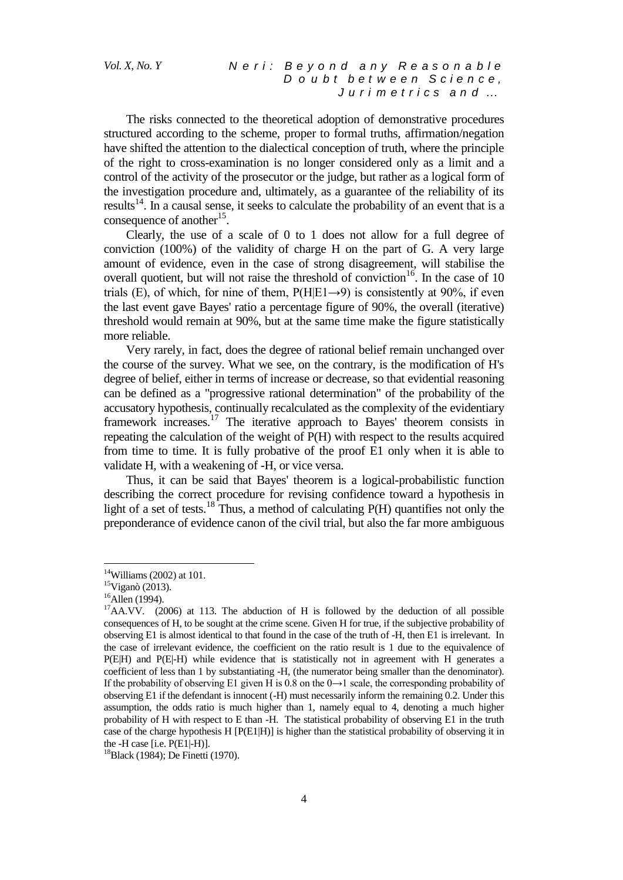The risks connected to the theoretical adoption of demonstrative procedures structured according to the scheme, proper to formal truths, affirmation/negation have shifted the attention to the dialectical conception of truth, where the principle of the right to cross-examination is no longer considered only as a limit and a control of the activity of the prosecutor or the judge, but rather as a logical form of the investigation procedure and, ultimately, as a guarantee of the reliability of its results<sup>14</sup>. In a causal sense, it seeks to calculate the probability of an event that is a consequence of another<sup>15</sup>.

Clearly, the use of a scale of 0 to 1 does not allow for a full degree of conviction (100%) of the validity of charge H on the part of G. A very large amount of evidence, even in the case of strong disagreement, will stabilise the overall quotient, but will not raise the threshold of conviction<sup>16</sup>. In the case of 10 trials (E), of which, for nine of them,  $P(H|E1\rightarrow 9)$  is consistently at 90%, if even the last event gave Bayes' ratio a percentage figure of 90%, the overall (iterative) threshold would remain at 90%, but at the same time make the figure statistically more reliable.

Very rarely, in fact, does the degree of rational belief remain unchanged over the course of the survey. What we see, on the contrary, is the modification of H's degree of belief, either in terms of increase or decrease, so that evidential reasoning can be defined as a "progressive rational determination" of the probability of the accusatory hypothesis, continually recalculated as the complexity of the evidentiary framework increases.<sup>17</sup> The iterative approach to Bayes' theorem consists in repeating the calculation of the weight of P(H) with respect to the results acquired from time to time. It is fully probative of the proof E1 only when it is able to validate H, with a weakening of -H, or vice versa.

Thus, it can be said that Bayes' theorem is a logical-probabilistic function describing the correct procedure for revising confidence toward a hypothesis in light of a set of tests.<sup>18</sup> Thus, a method of calculating  $P(H)$  quantifies not only the preponderance of evidence canon of the civil trial, but also the far more ambiguous

 $14$ Williams (2002) at 101.

<sup>15</sup>Viganò (2013).

<sup>&</sup>lt;sup>16</sup>Allen (1994).

 $17$ AA.VV. (2006) at 113. The abduction of H is followed by the deduction of all possible consequences of H, to be sought at the crime scene. Given H for true, if the subjective probability of observing E1 is almost identical to that found in the case of the truth of -H, then E1 is irrelevant. In the case of irrelevant evidence, the coefficient on the ratio result is 1 due to the equivalence of  $P(E|H)$  and  $P(E|-H)$  while evidence that is statistically not in agreement with H generates a coefficient of less than 1 by substantiating -H, (the numerator being smaller than the denominator). If the probability of observing E1 given H is 0.8 on the  $0 \rightarrow 1$  scale, the corresponding probability of observing E1 if the defendant is innocent (-H) must necessarily inform the remaining 0.2. Under this assumption, the odds ratio is much higher than 1, namely equal to 4, denoting a much higher probability of H with respect to E than -H. The statistical probability of observing E1 in the truth case of the charge hypothesis H [P(E1|H)] is higher than the statistical probability of observing it in the -H case [i.e. P(E1|-H)].

<sup>&</sup>lt;sup>18</sup>Black (1984); De Finetti (1970).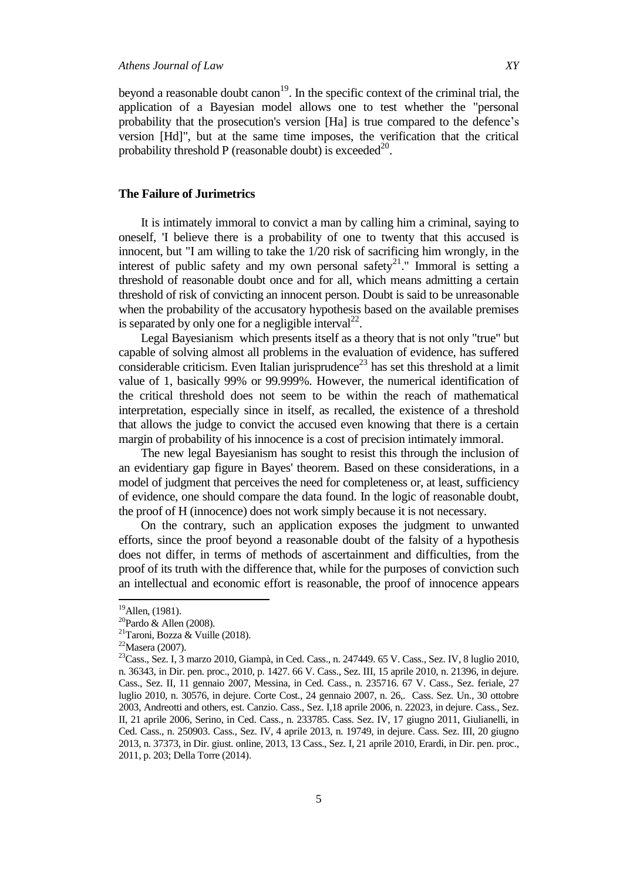beyond a reasonable doubt canon<sup>19</sup>. In the specific context of the criminal trial, the application of a Bayesian model allows one to test whether the "personal probability that the prosecution's version [Ha] is true compared to the defence"s version [Hd]", but at the same time imposes, the verification that the critical probability threshold P (reasonable doubt) is exceeded<sup>20</sup>.

#### **The Failure of Jurimetrics**

It is intimately immoral to convict a man by calling him a criminal, saying to oneself, 'I believe there is a probability of one to twenty that this accused is innocent, but "I am willing to take the 1/20 risk of sacrificing him wrongly, in the interest of public safety and my own personal safety<sup>21</sup>." Immoral is setting a threshold of reasonable doubt once and for all, which means admitting a certain threshold of risk of convicting an innocent person. Doubt is said to be unreasonable when the probability of the accusatory hypothesis based on the available premises is separated by only one for a negligible interval<sup>22</sup>.

Legal Bayesianism which presents itself as a theory that is not only "true" but capable of solving almost all problems in the evaluation of evidence, has suffered considerable criticism. Even Italian jurisprudence<sup>23</sup> has set this threshold at a limit value of 1, basically 99% or 99.999%. However, the numerical identification of the critical threshold does not seem to be within the reach of mathematical interpretation, especially since in itself, as recalled, the existence of a threshold that allows the judge to convict the accused even knowing that there is a certain margin of probability of his innocence is a cost of precision intimately immoral.

The new legal Bayesianism has sought to resist this through the inclusion of an evidentiary gap figure in Bayes' theorem. Based on these considerations, in a model of judgment that perceives the need for completeness or, at least, sufficiency of evidence, one should compare the data found. In the logic of reasonable doubt, the proof of H (innocence) does not work simply because it is not necessary.

On the contrary, such an application exposes the judgment to unwanted efforts, since the proof beyond a reasonable doubt of the falsity of a hypothesis does not differ, in terms of methods of ascertainment and difficulties, from the proof of its truth with the difference that, while for the purposes of conviction such an intellectual and economic effort is reasonable, the proof of innocence appears

 $19$ Allen, (1981).

 $20$ Pardo & Allen (2008).

<sup>&</sup>lt;sup>21</sup>Taroni, Bozza & Vuille (2018).

 $22$ Masera (2007).

 $^{23}$ Cass., Sez. I, 3 marzo 2010, Giampà, in Ced. Cass., n. 247449. 65 V. Cass., Sez. IV, 8 luglio 2010, n. 36343, in Dir. pen. proc., 2010, p. 1427. 66 V. Cass., Sez. III, 15 aprile 2010, n. 21396, in dejure. Cass., Sez. II, 11 gennaio 2007, Messina, in Ced. Cass., n. 235716. 67 V. Cass., Sez. feriale, 27 luglio 2010, n. 30576, in dejure. Corte Cost., 24 gennaio 2007, n. 26,. Cass. Sez. Un., 30 ottobre 2003, Andreotti and others, est. Canzio. Cass., Sez. I,18 aprile 2006, n. 22023, in dejure. Cass., Sez. II, 21 aprile 2006, Serino, in Ced. Cass., n. 233785. Cass. Sez. IV, 17 giugno 2011, Giulianelli, in Ced. Cass., n. 250903. Cass., Sez. IV, 4 aprile 2013, n. 19749, in dejure. Cass. Sez. III, 20 giugno 2013, n. 37373, in Dir. giust. online, 2013, 13 Cass., Sez. I, 21 aprile 2010, Erardi, in Dir. pen. proc., 2011, p. 203; Della Torre (2014).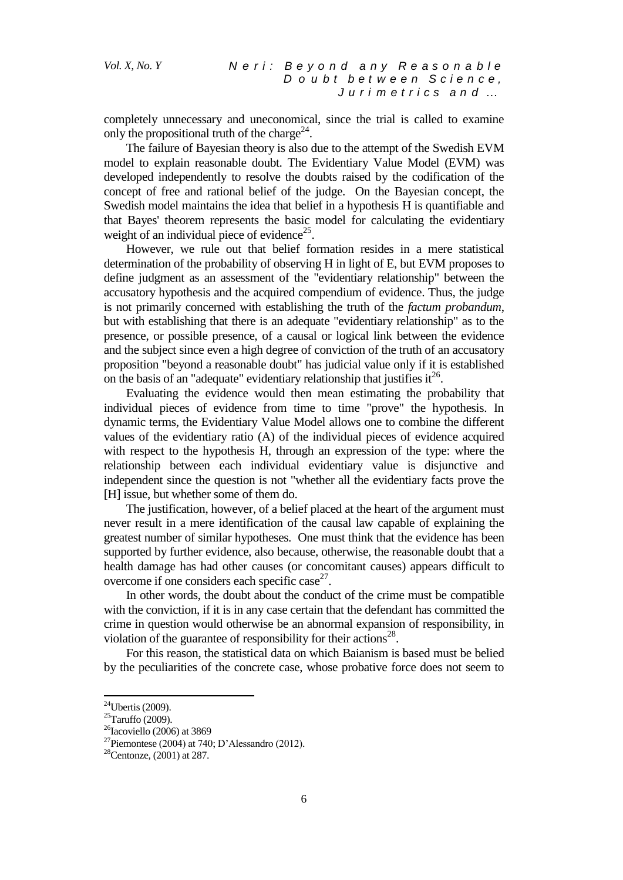completely unnecessary and uneconomical, since the trial is called to examine only the propositional truth of the charge<sup>24</sup>.

The failure of Bayesian theory is also due to the attempt of the Swedish EVM model to explain reasonable doubt. The Evidentiary Value Model (EVM) was developed independently to resolve the doubts raised by the codification of the concept of free and rational belief of the judge. On the Bayesian concept, the Swedish model maintains the idea that belief in a hypothesis H is quantifiable and that Bayes' theorem represents the basic model for calculating the evidentiary weight of an individual piece of evidence<sup>25</sup>.

However, we rule out that belief formation resides in a mere statistical determination of the probability of observing H in light of E, but EVM proposes to define judgment as an assessment of the "evidentiary relationship" between the accusatory hypothesis and the acquired compendium of evidence. Thus, the judge is not primarily concerned with establishing the truth of the *factum probandum*, but with establishing that there is an adequate "evidentiary relationship" as to the presence, or possible presence, of a causal or logical link between the evidence and the subject since even a high degree of conviction of the truth of an accusatory proposition "beyond a reasonable doubt" has judicial value only if it is established on the basis of an "adequate" evidentiary relationship that justifies  $it^{26}$ .

Evaluating the evidence would then mean estimating the probability that individual pieces of evidence from time to time "prove" the hypothesis. In dynamic terms, the Evidentiary Value Model allows one to combine the different values of the evidentiary ratio (A) of the individual pieces of evidence acquired with respect to the hypothesis H, through an expression of the type: where the relationship between each individual evidentiary value is disjunctive and independent since the question is not "whether all the evidentiary facts prove the [H] issue, but whether some of them do.

The justification, however, of a belief placed at the heart of the argument must never result in a mere identification of the causal law capable of explaining the greatest number of similar hypotheses. One must think that the evidence has been supported by further evidence, also because, otherwise, the reasonable doubt that a health damage has had other causes (or concomitant causes) appears difficult to overcome if one considers each specific case $2^7$ .

In other words, the doubt about the conduct of the crime must be compatible with the conviction, if it is in any case certain that the defendant has committed the crime in question would otherwise be an abnormal expansion of responsibility, in violation of the guarantee of responsibility for their actions $^{28}$ .

For this reason, the statistical data on which Baianism is based must be belied by the peculiarities of the concrete case, whose probative force does not seem to

 $^{24}$ Ubertis (2009).

 $25$ Taruffo (2009).

 $26$ Iacoviello (2006) at 3869

<sup>&</sup>lt;sup>27</sup>Piemontese (2004) at 740; D'Alessandro (2012).

 $28$ Centonze, (2001) at 287.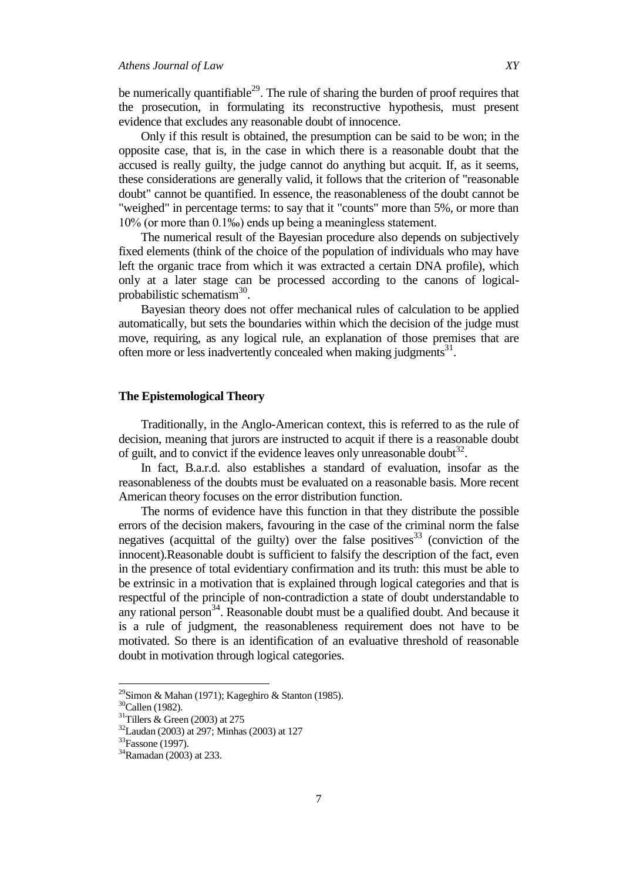be numerically quantifiable<sup>29</sup>. The rule of sharing the burden of proof requires that the prosecution, in formulating its reconstructive hypothesis, must present evidence that excludes any reasonable doubt of innocence.

Only if this result is obtained, the presumption can be said to be won; in the opposite case, that is, in the case in which there is a reasonable doubt that the accused is really guilty, the judge cannot do anything but acquit. If, as it seems, these considerations are generally valid, it follows that the criterion of "reasonable doubt" cannot be quantified. In essence, the reasonableness of the doubt cannot be "weighed" in percentage terms: to say that it "counts" more than 5%, or more than 10% (or more than 0.1‰) ends up being a meaningless statement.

The numerical result of the Bayesian procedure also depends on subjectively fixed elements (think of the choice of the population of individuals who may have left the organic trace from which it was extracted a certain DNA profile), which only at a later stage can be processed according to the canons of logicalprobabilistic schematism<sup>30</sup>.

Bayesian theory does not offer mechanical rules of calculation to be applied automatically, but sets the boundaries within which the decision of the judge must move, requiring, as any logical rule, an explanation of those premises that are often more or less inadvertently concealed when making judgments<sup>31</sup>.

#### **The Epistemological Theory**

Traditionally, in the Anglo-American context, this is referred to as the rule of decision, meaning that jurors are instructed to acquit if there is a reasonable doubt of guilt, and to convict if the evidence leaves only unreasonable doubt<sup>32</sup>.

In fact, B.a.r.d. also establishes a standard of evaluation, insofar as the reasonableness of the doubts must be evaluated on a reasonable basis. More recent American theory focuses on the error distribution function.

The norms of evidence have this function in that they distribute the possible errors of the decision makers, favouring in the case of the criminal norm the false negatives (acquittal of the guilty) over the false positives<sup>33</sup> (conviction of the innocent).Reasonable doubt is sufficient to falsify the description of the fact, even in the presence of total evidentiary confirmation and its truth: this must be able to be extrinsic in a motivation that is explained through logical categories and that is respectful of the principle of non-contradiction a state of doubt understandable to any rational person<sup>34</sup>. Reasonable doubt must be a qualified doubt. And because it is a rule of judgment, the reasonableness requirement does not have to be motivated. So there is an identification of an evaluative threshold of reasonable doubt in motivation through logical categories.

<sup>&</sup>lt;sup>29</sup>Simon & Mahan (1971); Kageghiro & Stanton (1985).

<sup>30</sup>Callen (1982).

 $31$ Tillers & Green (2003) at 275

 $32$ Laudan (2003) at 297; Minhas (2003) at 127

<sup>&</sup>lt;sup>33</sup>Fassone (1997).

<sup>34</sup>Ramadan (2003) at 233.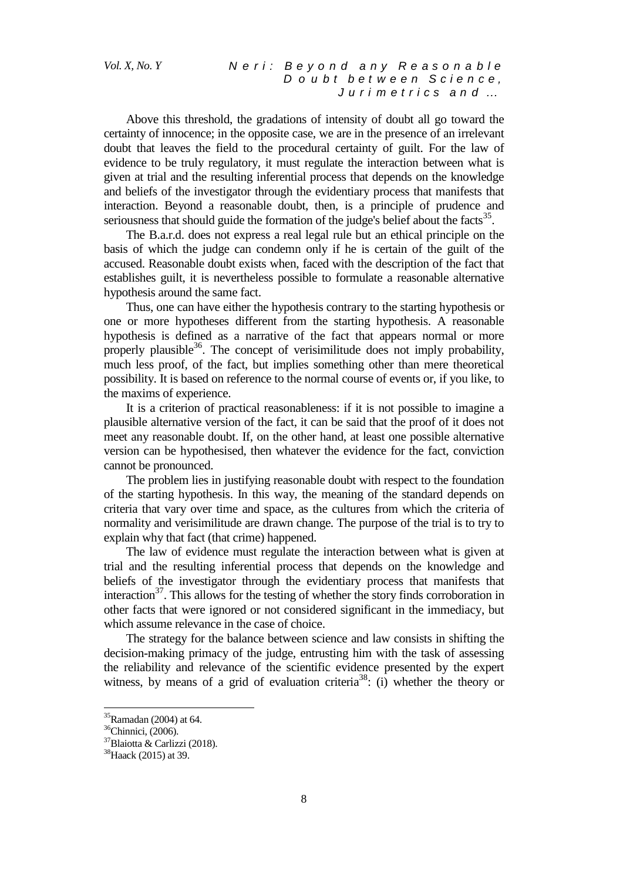# *Vol. X, No. Y N e r i : B e y o n d a n y R e a s o n a b l e D o u b t b e t w e e n S c i e n c e , J u r i m e t r i c s a n d …*

Above this threshold, the gradations of intensity of doubt all go toward the certainty of innocence; in the opposite case, we are in the presence of an irrelevant doubt that leaves the field to the procedural certainty of guilt. For the law of evidence to be truly regulatory, it must regulate the interaction between what is given at trial and the resulting inferential process that depends on the knowledge and beliefs of the investigator through the evidentiary process that manifests that interaction. Beyond a reasonable doubt, then, is a principle of prudence and seriousness that should guide the formation of the judge's belief about the facts $35$ .

The B.a.r.d. does not express a real legal rule but an ethical principle on the basis of which the judge can condemn only if he is certain of the guilt of the accused. Reasonable doubt exists when, faced with the description of the fact that establishes guilt, it is nevertheless possible to formulate a reasonable alternative hypothesis around the same fact.

Thus, one can have either the hypothesis contrary to the starting hypothesis or one or more hypotheses different from the starting hypothesis. A reasonable hypothesis is defined as a narrative of the fact that appears normal or more properly plausible<sup>36</sup>. The concept of verisimilitude does not imply probability, much less proof, of the fact, but implies something other than mere theoretical possibility. It is based on reference to the normal course of events or, if you like, to the maxims of experience.

It is a criterion of practical reasonableness: if it is not possible to imagine a plausible alternative version of the fact, it can be said that the proof of it does not meet any reasonable doubt. If, on the other hand, at least one possible alternative version can be hypothesised, then whatever the evidence for the fact, conviction cannot be pronounced.

The problem lies in justifying reasonable doubt with respect to the foundation of the starting hypothesis. In this way, the meaning of the standard depends on criteria that vary over time and space, as the cultures from which the criteria of normality and verisimilitude are drawn change. The purpose of the trial is to try to explain why that fact (that crime) happened.

The law of evidence must regulate the interaction between what is given at trial and the resulting inferential process that depends on the knowledge and beliefs of the investigator through the evidentiary process that manifests that interaction<sup>37</sup>. This allows for the testing of whether the story finds corroboration in other facts that were ignored or not considered significant in the immediacy, but which assume relevance in the case of choice.

The strategy for the balance between science and law consists in shifting the decision-making primacy of the judge, entrusting him with the task of assessing the reliability and relevance of the scientific evidence presented by the expert witness, by means of a grid of evaluation criteria<sup>38</sup>: (i) whether the theory or

 $35$ Ramadan (2004) at 64.

<sup>&</sup>lt;sup>36</sup>Chinnici, (2006).

<sup>37</sup>Blaiotta & Carlizzi (2018).

<sup>38</sup>Haack (2015) at 39.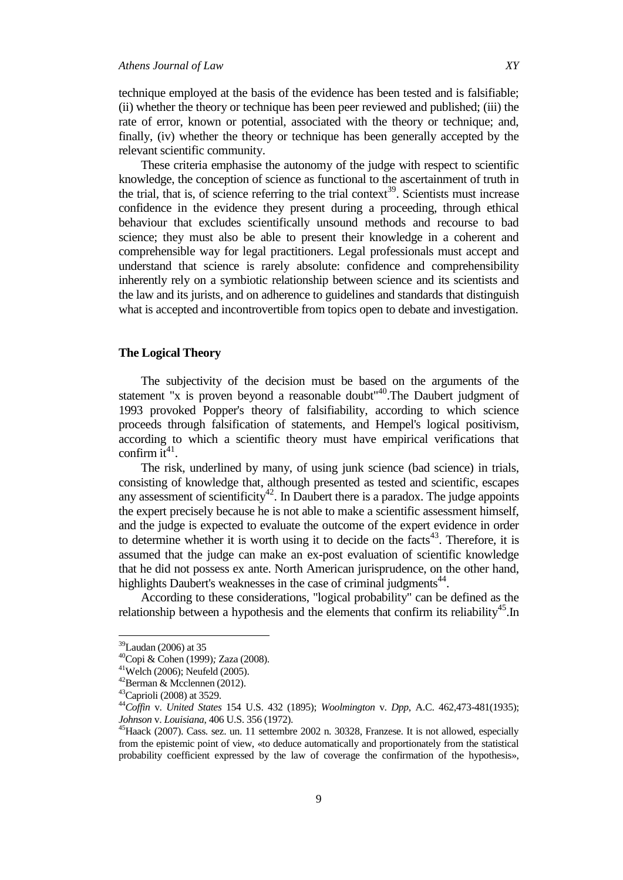technique employed at the basis of the evidence has been tested and is falsifiable; (ii) whether the theory or technique has been peer reviewed and published; (iii) the rate of error, known or potential, associated with the theory or technique; and, finally, (iv) whether the theory or technique has been generally accepted by the relevant scientific community.

These criteria emphasise the autonomy of the judge with respect to scientific knowledge, the conception of science as functional to the ascertainment of truth in the trial, that is, of science referring to the trial context<sup>39</sup>. Scientists must increase confidence in the evidence they present during a proceeding, through ethical behaviour that excludes scientifically unsound methods and recourse to bad science; they must also be able to present their knowledge in a coherent and comprehensible way for legal practitioners. Legal professionals must accept and understand that science is rarely absolute: confidence and comprehensibility inherently rely on a symbiotic relationship between science and its scientists and the law and its jurists, and on adherence to guidelines and standards that distinguish what is accepted and incontrovertible from topics open to debate and investigation.

# **The Logical Theory**

The subjectivity of the decision must be based on the arguments of the statement "x is proven beyond a reasonable doubt"<sup>40</sup>. The Daubert judgment of 1993 provoked Popper's theory of falsifiability, according to which science proceeds through falsification of statements, and Hempel's logical positivism, according to which a scientific theory must have empirical verifications that confirm it<sup>41</sup>.

The risk, underlined by many, of using junk science (bad science) in trials, consisting of knowledge that, although presented as tested and scientific, escapes any assessment of scientificity<sup>42</sup>. In Daubert there is a paradox. The judge appoints the expert precisely because he is not able to make a scientific assessment himself, and the judge is expected to evaluate the outcome of the expert evidence in order to determine whether it is worth using it to decide on the  $f$ acts<sup>43</sup>. Therefore, it is assumed that the judge can make an ex-post evaluation of scientific knowledge that he did not possess ex ante. North American jurisprudence, on the other hand, highlights Daubert's weaknesses in the case of criminal judgments<sup>44</sup>.

According to these considerations, "logical probability" can be defined as the relationship between a hypothesis and the elements that confirm its reliability<sup>45</sup>. In

<sup>&</sup>lt;sup>39</sup>Laudan (2006) at 35

<sup>40</sup>Copi & Cohen (1999)*;* Zaza (2008).

 $41$ Welch (2006); Neufeld (2005).

<sup>42</sup>Berman & Mcclennen (2012).

<sup>43</sup>Caprioli (2008) at 3529.

<sup>44</sup>*Coffin* v. *United States* 154 U.S. 432 (1895); *Woolmington* v. *Dpp*, A.C. 462,473-481(1935); *Johnson* v. *Louisiana*, 406 U.S. 356 (1972).

<sup>&</sup>lt;sup>45</sup>Haack (2007). Cass. sez. un. 11 settembre 2002 n. 30328, Franzese. It is not allowed, especially from the epistemic point of view, «to deduce automatically and proportionately from the statistical probability coefficient expressed by the law of coverage the confirmation of the hypothesis»,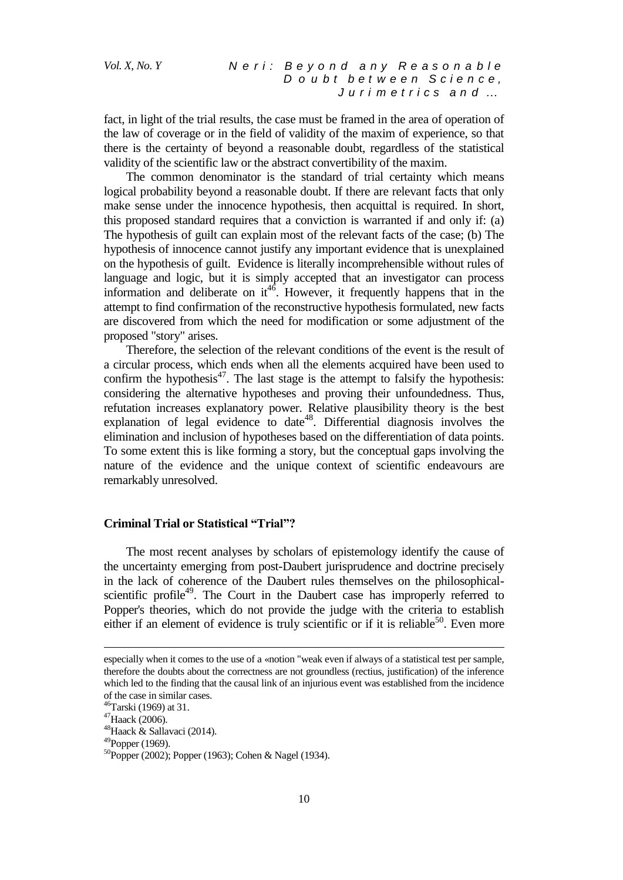fact, in light of the trial results, the case must be framed in the area of operation of the law of coverage or in the field of validity of the maxim of experience, so that there is the certainty of beyond a reasonable doubt, regardless of the statistical validity of the scientific law or the abstract convertibility of the maxim.

The common denominator is the standard of trial certainty which means logical probability beyond a reasonable doubt. If there are relevant facts that only make sense under the innocence hypothesis, then acquittal is required. In short, this proposed standard requires that a conviction is warranted if and only if: (a) The hypothesis of guilt can explain most of the relevant facts of the case; (b) The hypothesis of innocence cannot justify any important evidence that is unexplained on the hypothesis of guilt. Evidence is literally incomprehensible without rules of language and logic, but it is simply accepted that an investigator can process information and deliberate on  $it^{46}$ . However, it frequently happens that in the attempt to find confirmation of the reconstructive hypothesis formulated, new facts are discovered from which the need for modification or some adjustment of the proposed "story" arises.

Therefore, the selection of the relevant conditions of the event is the result of a circular process, which ends when all the elements acquired have been used to confirm the hypothesis $47$ . The last stage is the attempt to falsify the hypothesis: considering the alternative hypotheses and proving their unfoundedness. Thus, refutation increases explanatory power. Relative plausibility theory is the best explanation of legal evidence to date<sup>48</sup>. Differential diagnosis involves the elimination and inclusion of hypotheses based on the differentiation of data points. To some extent this is like forming a story, but the conceptual gaps involving the nature of the evidence and the unique context of scientific endeavours are remarkably unresolved.

# **Criminal Trial or Statistical "Trial"?**

The most recent analyses by scholars of epistemology identify the cause of the uncertainty emerging from post-Daubert jurisprudence and doctrine precisely in the lack of coherence of the Daubert rules themselves on the philosophicalscientific profile<sup>49</sup>. The Court in the Daubert case has improperly referred to Popper's theories, which do not provide the judge with the criteria to establish either if an element of evidence is truly scientific or if it is reliable<sup>50</sup>. Even more

especially when it comes to the use of a «notion "weak even if always of a statistical test per sample, therefore the doubts about the correctness are not groundless (rectius, justification) of the inference which led to the finding that the causal link of an injurious event was established from the incidence of the case in similar cases.

<sup>46</sup>Tarski (1969) at 31.

<sup>47</sup>Haack (2006).

<sup>&</sup>lt;sup>48</sup>Haack & Sallavaci (2014).

 $^{49}$ Popper (1969).

<sup>50</sup>Popper (2002); Popper (1963); Cohen & Nagel (1934).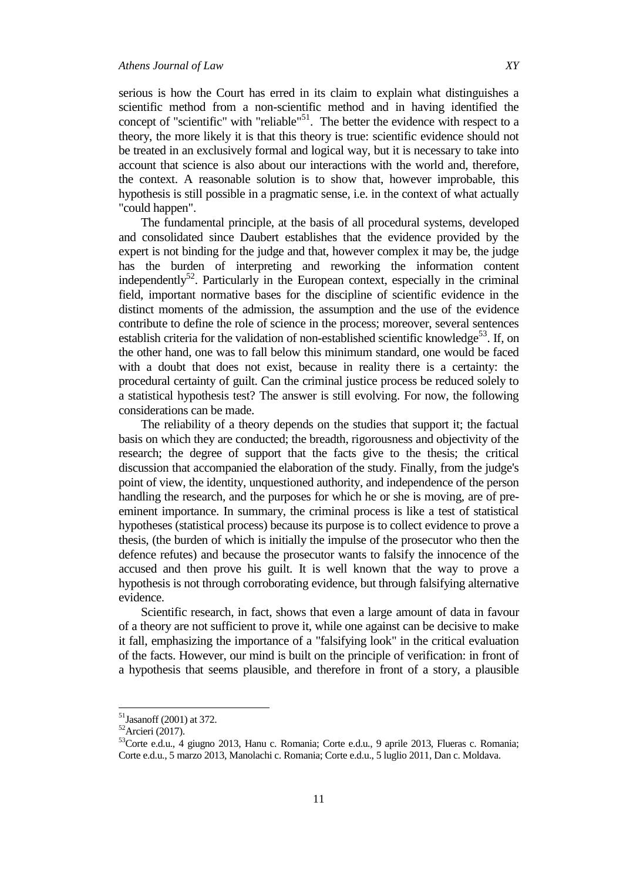serious is how the Court has erred in its claim to explain what distinguishes a scientific method from a non-scientific method and in having identified the concept of "scientific" with "reliable"<sup>51</sup>. The better the evidence with respect to a theory, the more likely it is that this theory is true: scientific evidence should not be treated in an exclusively formal and logical way, but it is necessary to take into account that science is also about our interactions with the world and, therefore, the context. A reasonable solution is to show that, however improbable, this hypothesis is still possible in a pragmatic sense, i.e. in the context of what actually "could happen".

The fundamental principle, at the basis of all procedural systems, developed and consolidated since Daubert establishes that the evidence provided by the expert is not binding for the judge and that, however complex it may be, the judge has the burden of interpreting and reworking the information content independently<sup>52</sup>. Particularly in the European context, especially in the criminal field, important normative bases for the discipline of scientific evidence in the distinct moments of the admission, the assumption and the use of the evidence contribute to define the role of science in the process; moreover, several sentences establish criteria for the validation of non-established scientific knowledge<sup>53</sup>. If, on the other hand, one was to fall below this minimum standard, one would be faced with a doubt that does not exist, because in reality there is a certainty: the procedural certainty of guilt. Can the criminal justice process be reduced solely to a statistical hypothesis test? The answer is still evolving. For now, the following considerations can be made.

The reliability of a theory depends on the studies that support it; the factual basis on which they are conducted; the breadth, rigorousness and objectivity of the research; the degree of support that the facts give to the thesis; the critical discussion that accompanied the elaboration of the study. Finally, from the judge's point of view, the identity, unquestioned authority, and independence of the person handling the research, and the purposes for which he or she is moving, are of preeminent importance. In summary, the criminal process is like a test of statistical hypotheses (statistical process) because its purpose is to collect evidence to prove a thesis, (the burden of which is initially the impulse of the prosecutor who then the defence refutes) and because the prosecutor wants to falsify the innocence of the accused and then prove his guilt. It is well known that the way to prove a hypothesis is not through corroborating evidence, but through falsifying alternative evidence.

Scientific research, in fact, shows that even a large amount of data in favour of a theory are not sufficient to prove it, while one against can be decisive to make it fall, emphasizing the importance of a "falsifying look" in the critical evaluation of the facts. However, our mind is built on the principle of verification: in front of a hypothesis that seems plausible, and therefore in front of a story, a plausible

 $51$ Jasanoff (2001) at 372.

 $52$ Arcieri (2017).

<sup>53</sup>Corte e.d.u., 4 giugno 2013, Hanu c. Romania; Corte e.d.u., 9 aprile 2013, Flueras c. Romania; Corte e.d.u., 5 marzo 2013, Manolachi c. Romania; Corte e.d.u., 5 luglio 2011, Dan c. Moldava.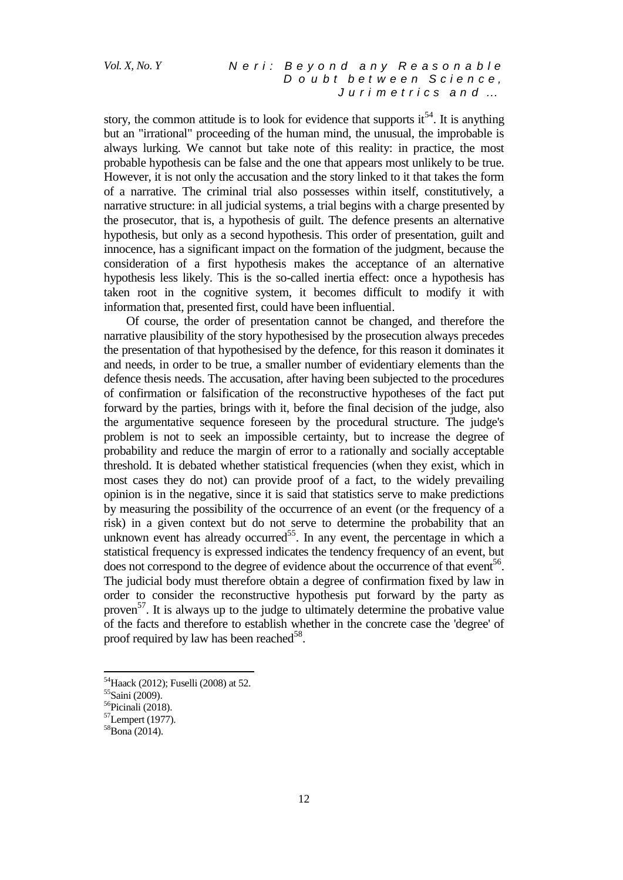# *Vol. X, No. Y N e r i : B e y o n d a n y R e a s o n a b l e D o u b t b e t w e e n S c i e n c e , J u r i m e t r i c s a n d …*

story, the common attitude is to look for evidence that supports it<sup>54</sup>. It is anything but an "irrational" proceeding of the human mind, the unusual, the improbable is always lurking. We cannot but take note of this reality: in practice, the most probable hypothesis can be false and the one that appears most unlikely to be true. However, it is not only the accusation and the story linked to it that takes the form of a narrative. The criminal trial also possesses within itself, constitutively, a narrative structure: in all judicial systems, a trial begins with a charge presented by the prosecutor, that is, a hypothesis of guilt. The defence presents an alternative hypothesis, but only as a second hypothesis. This order of presentation, guilt and innocence, has a significant impact on the formation of the judgment, because the consideration of a first hypothesis makes the acceptance of an alternative hypothesis less likely. This is the so-called inertia effect: once a hypothesis has taken root in the cognitive system, it becomes difficult to modify it with information that, presented first, could have been influential.

Of course, the order of presentation cannot be changed, and therefore the narrative plausibility of the story hypothesised by the prosecution always precedes the presentation of that hypothesised by the defence, for this reason it dominates it and needs, in order to be true, a smaller number of evidentiary elements than the defence thesis needs. The accusation, after having been subjected to the procedures of confirmation or falsification of the reconstructive hypotheses of the fact put forward by the parties, brings with it, before the final decision of the judge, also the argumentative sequence foreseen by the procedural structure. The judge's problem is not to seek an impossible certainty, but to increase the degree of probability and reduce the margin of error to a rationally and socially acceptable threshold. It is debated whether statistical frequencies (when they exist, which in most cases they do not) can provide proof of a fact, to the widely prevailing opinion is in the negative, since it is said that statistics serve to make predictions by measuring the possibility of the occurrence of an event (or the frequency of a risk) in a given context but do not serve to determine the probability that an unknown event has already occurred<sup>55</sup>. In any event, the percentage in which a statistical frequency is expressed indicates the tendency frequency of an event, but does not correspond to the degree of evidence about the occurrence of that event<sup>56</sup>. The judicial body must therefore obtain a degree of confirmation fixed by law in order to consider the reconstructive hypothesis put forward by the party as proven<sup>57</sup>. It is always up to the judge to ultimately determine the probative value of the facts and therefore to establish whether in the concrete case the 'degree' of proof required by law has been reached<sup>58</sup>.

<sup>54</sup>Haack (2012); Fuselli (2008) at 52.

<sup>55</sup>Saini (2009).

<sup>56</sup>Picinali (2018).

<sup>57</sup>Lempert (1977).

 $58$ Bona (2014).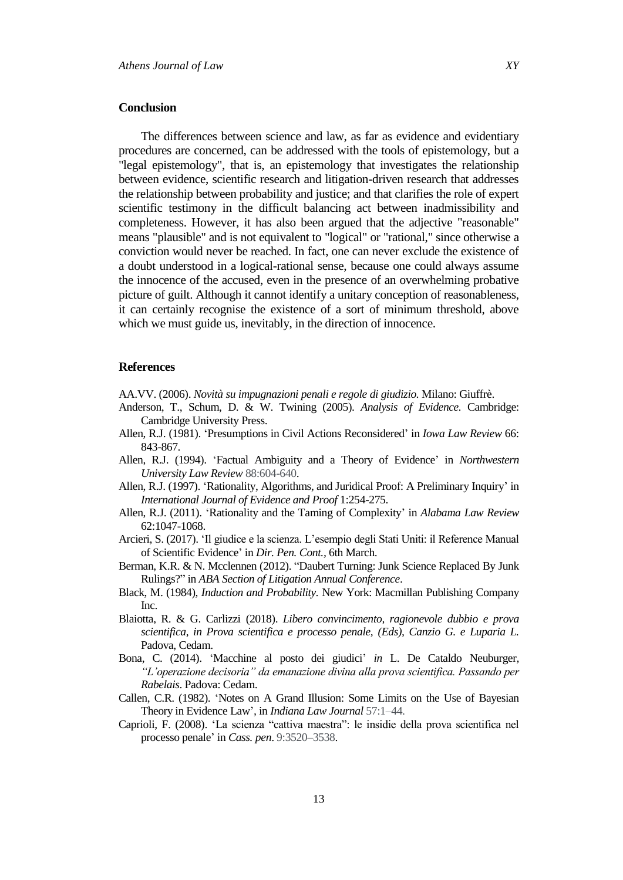#### **Conclusion**

The differences between science and law, as far as evidence and evidentiary procedures are concerned, can be addressed with the tools of epistemology, but a "legal epistemology", that is, an epistemology that investigates the relationship between evidence, scientific research and litigation-driven research that addresses the relationship between probability and justice; and that clarifies the role of expert scientific testimony in the difficult balancing act between inadmissibility and completeness. However, it has also been argued that the adjective "reasonable" means "plausible" and is not equivalent to "logical" or "rational," since otherwise a conviction would never be reached. In fact, one can never exclude the existence of a doubt understood in a logical-rational sense, because one could always assume the innocence of the accused, even in the presence of an overwhelming probative picture of guilt. Although it cannot identify a unitary conception of reasonableness, it can certainly recognise the existence of a sort of minimum threshold, above which we must guide us, inevitably, in the direction of innocence.

#### **References**

AA.VV. (2006). *Novità su impugnazioni penali e regole di giudizio.* Milano: Giuffrè.

- Anderson, T., Schum, D. & W. Twining (2005). *Analysis of Evidence.* Cambridge: Cambridge University Press.
- Allen, R.J. (1981). "Presumptions in Civil Actions Reconsidered" in *Iowa Law Review* 66: 843-867.
- Allen, R.J. (1994). "Factual Ambiguity and a Theory of Evidence" in *Northwestern University Law Review* 88:604-640.
- Allen, R.J. (1997). "Rationality, Algorithms, and Juridical Proof: A Preliminary Inquiry" in *International Journal of Evidence and Proof* 1:254-275.
- Allen, R.J. (2011). "Rationality and the Taming of Complexity" in *Alabama Law Review* 62:1047-1068.
- Arcieri, S. (2017). "Il giudice e la scienza. L"esempio degli Stati Uniti: il Reference Manual of Scientific Evidence" in *Dir. Pen. Cont.,* 6th March.
- Berman, K.R. & N. Mcclennen (2012). "Daubert Turning: Junk Science Replaced By Junk Rulings?" in *ABA Section of Litigation Annual Conference*.
- Black, M. (1984), *Induction and Probability.* New York: Macmillan Publishing Company Inc.
- Blaiotta, R. & G. Carlizzi (2018). *Libero convincimento, ragionevole dubbio e prova scientifica*, *in Prova scientifica e processo penale, (Eds), Canzio G. e Luparia L.*  Padova, Cedam.
- Bona, C. (2014). "Macchine al posto dei giudici" *in* L. De Cataldo Neuburger*, "L"operazione decisoria" da emanazione divina alla prova scientifica. Passando per Rabelais*. Padova: Cedam.
- Callen, C.R. (1982). "Notes on A Grand Illusion: Some Limits on the Use of Bayesian Theory in Evidence Law"*,* in *Indiana Law Journal* 57:1–44.
- Caprioli, F. (2008). "La scienza "cattiva maestra": le insidie della prova scientifica nel processo penale" in *Cass. pen*. 9:3520–3538.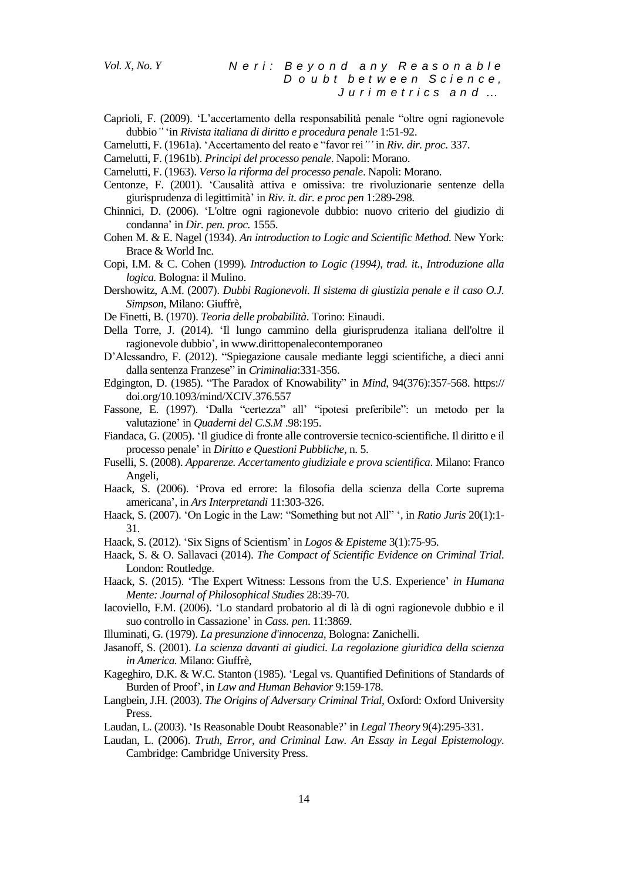- Caprioli, F. (2009). "L"accertamento della responsabilità penale "oltre ogni ragionevole dubbio*"* "in *Rivista italiana di diritto e procedura penale* 1:51-92.
- Carnelutti, F. (1961a). "Accertamento del reato e "favor rei*""* in *Riv. dir. proc*. 337.
- Carnelutti, F. (1961b). *Principi del processo penale*. Napoli: Morano.
- Carnelutti, F. (1963). *Verso la riforma del processo penale*. Napoli: Morano.
- Centonze, F. (2001). "Causalità attiva e omissiva: tre rivoluzionarie sentenze della giurisprudenza di legittimità" in *Riv. it. dir. e proc pen* 1:289-298.
- Chinnici, D. (2006). "L'oltre ogni ragionevole dubbio: nuovo criterio del giudizio di condanna" in *Dir. pen. proc.* 1555.
- Cohen M. & E. Nagel (1934). *An introduction to Logic and Scientific Method.* New York: Brace & World Inc.
- Copi, I.M. & C. Cohen (1999)*. Introduction to Logic (1994), trad. it., Introduzione alla logica.* Bologna: il Mulino.
- Dershowitz, A.M. (2007). *Dubbi Ragionevoli. Il sistema di giustizia penale e il caso O.J. Simpson,* Milano: Giuffrè,
- De Finetti, B. (1970). *Teoria delle probabilità*. Torino: Einaudi.
- Della Torre, J. (2014). "Il lungo cammino della giurisprudenza italiana dell'oltre il ragionevole dubbio"*,* i[n www.dirittopenalecontemporaneo](http://www.dirittopenalecontemporaneo/)
- D"Alessandro, F. (2012). "Spiegazione causale mediante leggi scientifiche, a dieci anni dalla sentenza Franzese" in *Criminalia*:331-356.
- Edgington, D. (1985). "The Paradox of Knowability" in *Mind*, 94(376):357-568. https:// doi.org/10.1093/mind/XCIV.376.557
- Fassone, E. (1997). 'Dalla "certezza" all' "ipotesi preferibile": un metodo per la valutazione" in *Quaderni del C.S.M* .98:195.
- Fiandaca, G. (2005). "Il giudice di fronte alle controversie tecnico-scientifiche. Il diritto e il processo penale" in *Diritto e Questioni Pubbliche*, n. 5.
- Fuselli, S. (2008). *Apparenze. Accertamento giudiziale e prova scientifica*. Milano: Franco Angeli,
- Haack, S. (2006). "Prova ed errore: la filosofia della scienza della Corte suprema americana", in *Ars Interpretandi* 11:303-326.
- Haack, S. (2007). 'On Logic in the Law: "Something but not All" ', in *Ratio Juris* 20(1):1-31.
- Haack, S. (2012). "Six Signs of Scientism" in *Logos & Episteme* 3(1):75-95.
- Haack, S. & O. Sallavaci (2014). *The Compact of Scientific Evidence on Criminal Trial.* London: Routledge.
- Haack, S. (2015). "The Expert Witness: Lessons from the U.S. Experience" *in Humana Mente: Journal of Philosophical Studies* 28:39-70.
- Iacoviello, F.M. (2006). "Lo standard probatorio al di là di ogni ragionevole dubbio e il suo controllo in Cassazione" in *Cass. pen*. 11:3869.
- Illuminati, G. (1979). *La presunzione d'innocenza,* Bologna: Zanichelli.
- Jasanoff, S. (2001). *La scienza davanti ai giudici. La regolazione giuridica della scienza in America.* Milano: Giuffrè,
- Kageghiro, D.K. & W.C. Stanton (1985). "Legal vs. Quantified Definitions of Standards of Burden of Proof"*,* in *Law and Human Behavior* 9:159-178.
- Langbein, J.H. (2003). *The Origins of Adversary Criminal Trial,* Oxford: Oxford University Press.
- Laudan, L. (2003). "Is Reasonable Doubt Reasonable?" in *Legal Theory* 9(4):295-331.
- Laudan, L. (2006). *Truth, Error, and Criminal Law. An Essay in Legal Epistemology.*  Cambridge: Cambridge University Press.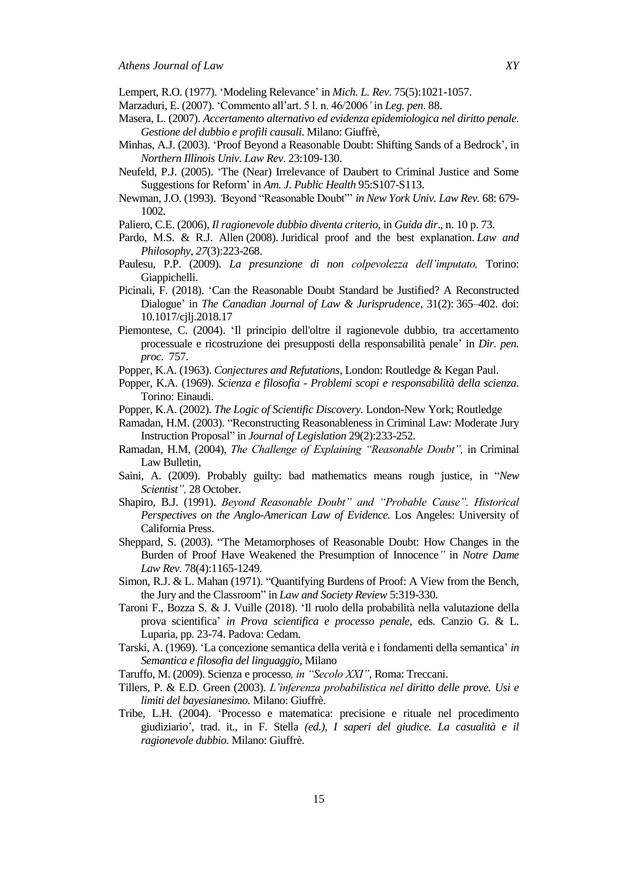Lempert, R.O. (1977). "Modeling Relevance" in *Mich. L. Rev*. 75(5):1021-1057.

- Marzaduri, E. (2007). "Commento all"art. 5 l. n. 46/2006*"* in *Leg. pen*. 88.
- Masera, L. (2007). *Accertamento alternativo ed evidenza epidemiologica nel diritto penale. Gestione del dubbio e profili causali*. Milano: Giuffrè,
- Minhas, A.J. (2003). "Proof Beyond a Reasonable Doubt: Shifting Sands of a Bedrock", in *Northern Illinois Univ. Law Rev*. 23:109-130.
- Neufeld, P.J. (2005). "The (Near) Irrelevance of Daubert to Criminal Justice and Some Suggestions for Reform" in *Am. J. Public Health* 95:S107-S113.
- Newman, J.O. (1993). *"*Beyond "Reasonable Doubt"" *in New York Univ. Law Rev.* 68: 679- 1002*.*
- Paliero, C.E. (2006), *Il ragionevole dubbio diventa criterio,* in *Guida dir*., n. 10 p. 73.
- Pardo, M.S. & R.J. Allen (2008). Juridical proof and the best explanation. *Law and Philosophy*, *27*(3):223-268.
- Paulesu, P.P. (2009). *La presunzione di non colpevolezza dell"imputato,* Torino: Giappichelli.
- Picinali, F. (2018). "Can the Reasonable Doubt Standard be Justified? A Reconstructed Dialogue" in *The Canadian Journal of Law & Jurisprudence*, 31(2): 365–402. doi: 10.1017/cjlj.2018.17
- Piemontese, C. (2004). "Il principio dell'oltre il ragionevole dubbio, tra accertamento processuale e ricostruzione dei presupposti della responsabilità penale" in *Dir. pen. proc.* 757.
- Popper, K.A. (1963). *Conjectures and Refutations,* London: Routledge & Kegan Paul.
- Popper, K.A. (1969). *Scienza e filosofia Problemi scopi e responsabilità della scienza*. Torino: Einaudi.
- Popper, K.A. (2002). *The Logic of Scientific Discovery.* London-New York; Routledge
- Ramadan, H.M. (2003). "Reconstructing Reasonableness in Criminal Law: Moderate Jury Instruction Proposal" in *Journal of Legislation* 29(2):233-252.
- Ramadan, H.M, (2004), *The Challenge of Explaining "Reasonable Doubt",* in Criminal Law Bulletin,
- Saini, A. (2009). Probably guilty: bad mathematics means rough justice*,* in "*New Scientist",* 28 October.
- Shapiro, B.J. (1991). *Beyond Reasonable Doubt" and "Probable Cause". Historical Perspectives on the Anglo-American Law of Evidence.* Los Angeles: University of California Press.
- Sheppard, S. (2003). "The Metamorphoses of Reasonable Doubt: How Changes in the Burden of Proof Have Weakened the Presumption of Innocence*"* in *Notre Dame Law Rev.* 78(4):1165-1249*.*
- Simon, R.J. & L. Mahan (1971). "Quantifying Burdens of Proof: A View from the Bench, the Jury and the Classroom" in *Law and Society Review* 5:319-330.
- Taroni F., Bozza S. & J. Vuille (2018). "Il ruolo della probabilità nella valutazione della prova scientifica" *in Prova scientifica e processo penale*, eds. Canzio G. & L. Luparia, pp. 23-74. Padova: Cedam.
- Tarski, A. (1969). "La concezione semantica della verità e i fondamenti della semantica" *in Semantica e filosofia del linguaggio,* Milano
- Taruffo, M. (2009). Scienza e processo*, in "Secolo XXI"*, Roma: Treccani.
- Tillers, P. & E.D. Green (2003). *L"inferenza probabilistica nel diritto delle prove. Usi e limiti del bayesianesimo.* Milano: Giuffrè.
- Tribe, L.H. (2004). "Processo e matematica: precisione e rituale nel procedimento giudiziario", trad. it., in F. Stella *(ed.), I saperi del giudice. La casualità e il ragionevole dubbio.* Milano: Giuffrè.